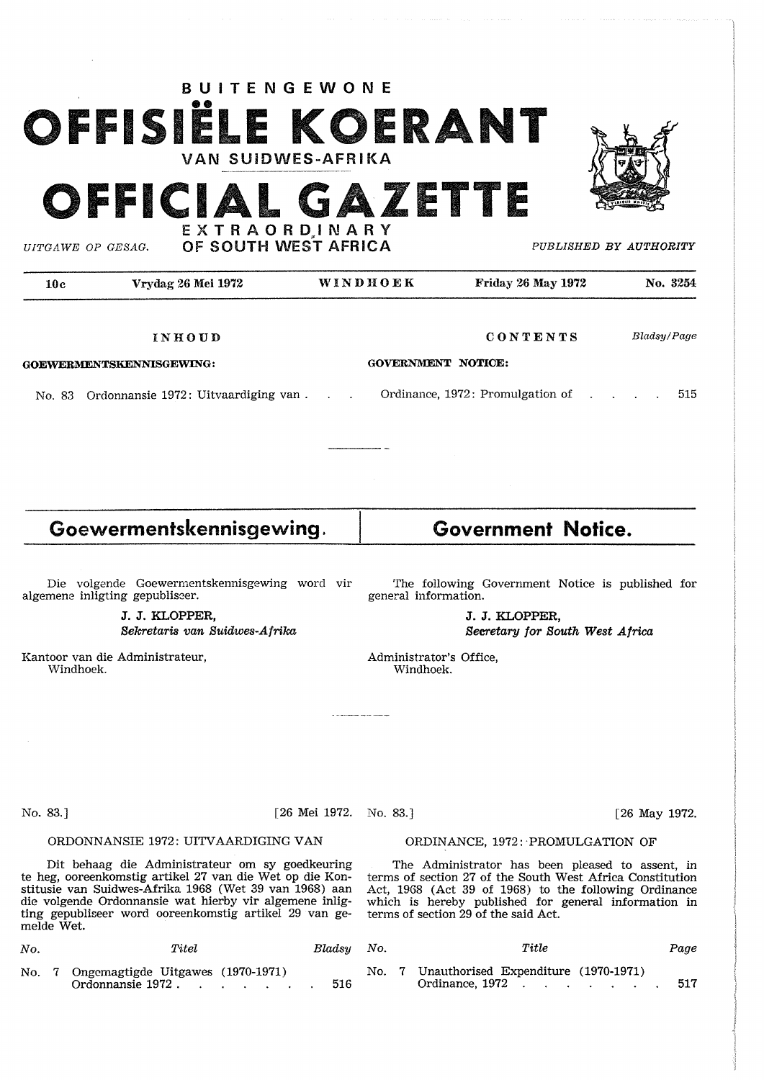# **BUITENGEWONE**  OFFISIËLE KOERANT VAN SUiDWES-AFRIKA

EXTRAORDINARY

*UITGAWE* OP *GESAG.* 

FFICIAL GAZETTE



OF SOUTH WEST AFRICA *PUBLISHED BY AUTHORITY* 

10c Vrydag 26 Mei 1972 WINDHOEK Friday 26 May 1972 **No.** <sup>3254</sup> **CONTENTS**  *Bladsy/Page*  **INHOUD GOVERNMENT NOTICE: GOEWERMENTSKENNISGEWING:**  Ordinance, 1972: Promulgation of No. 83 Ordonnansie 1972: Uitvaardiging van . 515 **Goewermentskennisgewing. Government Notice.**  Die volgende Goewermentskennisgewing word vir The following Government Notice is published for algemene inligting gepubliseer. general information. **J. J. KLOPFER, J. J. KLOPFER, Sekretaris van Suidwes-Afrika Sreretary for South West Africa**  Kantoor van die Administrateur, Administrator's Office, Windhoek. Windhoek. a componente personal No. 83.] [26 Mei 1972. No. 83.] [26 May 1972. ORDONNANSIE 1972: UITVAARDIGING VAN ORDINANCE, 1972: PROMULGATION OF

Dit behaag die Administrateur om sy goedkeuring te heg, ooreenkomstig artikel 27 van die Wet op die Konstitusie van Suidwes-Afrika 1968 (Wet 39 van 1968) aan stitusie van Suidwes-Afrika 1968 (Wet 39 van 1968) aan die volgende Ordonnansie wat hierby vir algemene inligting gepubliseer word ooreenkomstig artikel 29 van gemelde Wet.

| No. | $\it Titel$                                                  |  | Bladsu |
|-----|--------------------------------------------------------------|--|--------|
|     | No. 7 Ongemagtigde Uitgawes (1970-1971)<br>Ordonnansie 1972. |  | 516    |

The Administrator has been pleased to assent, in terms of section 27 of the South West Africa Constitution Act, 1968 (Act 39 of 1968) to the following Ordinance which is hereby published for general information in terms of section 29 of the said Act.

| No. | $\it Titel$                                                  | Bladsy No. |  | Title                                                             | Page |
|-----|--------------------------------------------------------------|------------|--|-------------------------------------------------------------------|------|
|     | No. 7 Ongemagtigde Uitgawes (1970-1971)<br>Ordonnansie 1972. |            |  | No. 7 Unauthorised Expenditure (1970-1971)<br>Ordinance, 1972 517 |      |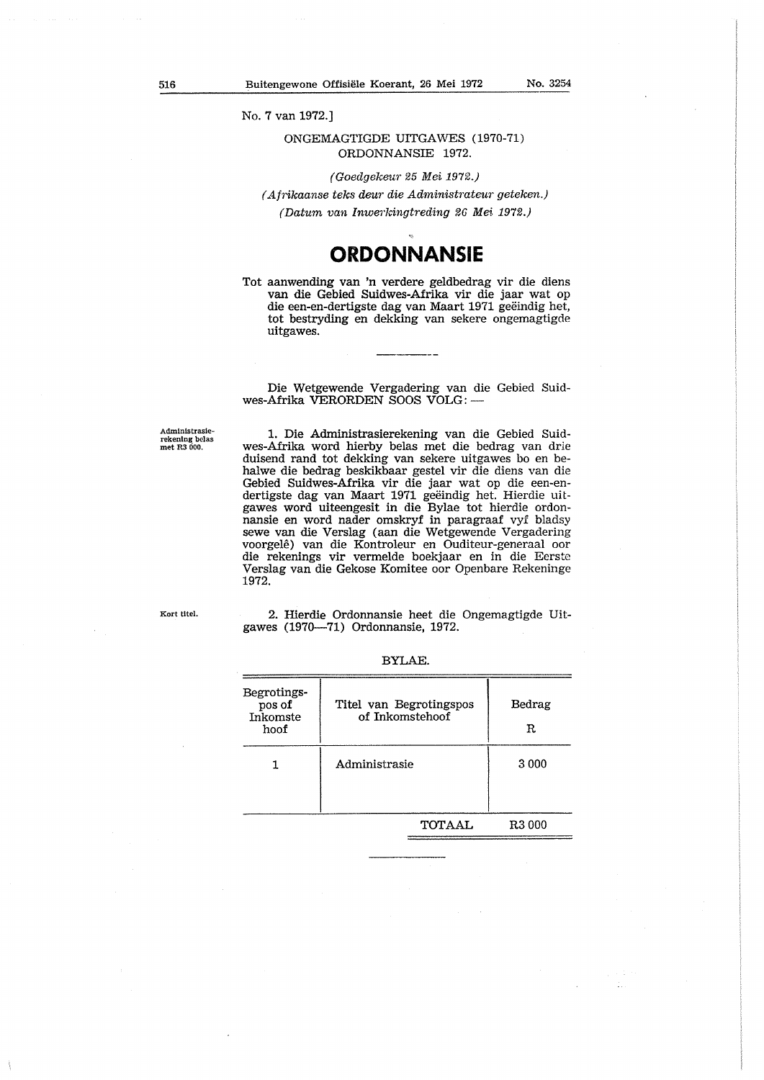No. 7 van 1972.]

### ONGEMAGTIGDE UITGAWES (1970-71) ORDONNANSIE 1972.

(Goedgekeur 25 Mei 197£.)

( Afrikaanse teks deur die Administrateur geteken.) (Datum van Inwerlcingtreding 26 Mei. 1972.)

## **ORDONNANSIE**

Tot aanwending van 'n verdere geldbedrag vir die diens van die Gebied Suidwes-Afrika vir die jaar wat op die een-en-dertigste dag van Maart 1971 geëindig het, tot bestryding en dekking van sekere ongemagtigde uitgawes.

Die Wetgewende Vergadering van die Gebied Suidwes-Afrika VERORDEN SOOS VOLG: -

Administrasierekening belas<br>met R3 000.

1. Die Administrasierekening van die Gebied Suidwes-Afrika word hierby belas met die bedrag van drie duisend rand tot dekking van sekere uitgawes bo en behalwe die bedrag beskikbaar gestel vir die diens van die Gebied Suidwes-Afrika vir die jaar wat op die een-endertigste dag van Maart 1971 geëindig het. Hierdie uitgawes word uiteengesit in die Bylae tot hierdie ordonnansie en word nader omskryf in paragraaf vyf bladsy sewe van die Verslag (aan die Wetgewende Vergadering voorgele) van die Kontroleur en Ouditeur-generaal oor die rekenings **vir** vermelde boekjaar en in die Eerste Verslag van die Gekose Komitee oor Openbare Rekeninge 1972.

Kort titel.

2. Hierdie Ordonnansie heet die Ongemagtigde Uitgawes (1970-71) Ordonnansie, 1972.

| Begrotings-<br>pos of<br>Inkomste<br>hoof | Titel van Begrotingspos<br>of Inkomstehoof | Bedrag<br>R. |
|-------------------------------------------|--------------------------------------------|--------------|
|                                           | Administrasie                              | 3 000        |
|                                           | TOTAAL                                     | R3 000       |

BYLAE.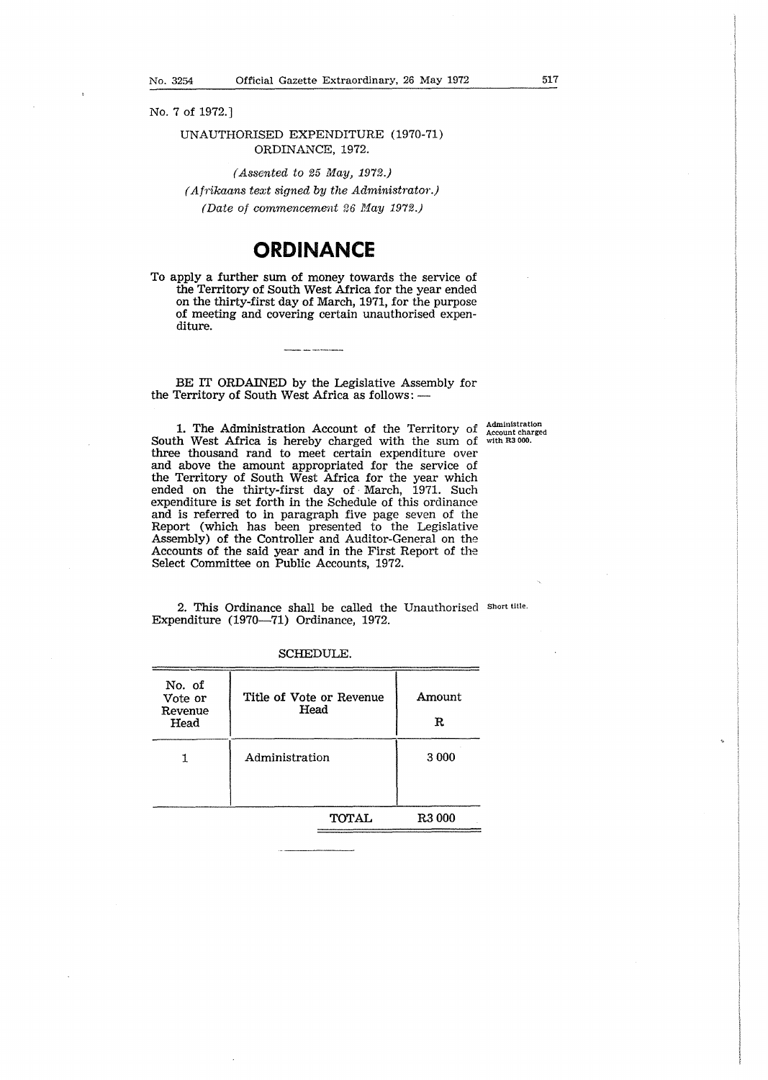No. 7 of 1972.]

### UNAUTHORISED EXPENDITURE (1970-71) ORDINANCE, 1972.

(Assented to  $25$  May, 1972.) ( Afrikaans text signed *by* the Administrator.) (Date of commencement 26 May 1972.)

### **ORDINANCE**

To apply a further sum of money towards the service of the Territory of South West Africa for the year ended on the thirty-first day of March, 1971, for the purpose of meeting and covering certain unauthorised expenditure.

BE IT ORDAINED by the Legislative Assembly for the Territory of South West Africa as follows: --

1. The Administration Account of the Territory of South West Africa is hereby charged with the sum of three thousand rand to meet certain expenditure over and above the amount appropriated for the service of the Territory of South West Africa for the year which ended on the thirty-first day of· March, 1971. Such expenditure is set forth in the Schedule of this ordinance and is referred to in paragraph five page seven of the Report (which has been presented to the Legislative Assembly) of the Controller and Auditor-General on the Accounts of the said year and in the First Report of the Select Committee on Public Accounts, 1972. Administration Account charged with R3 000.

2. This Ordinance shall be called the Unauthorised Short uue. Expenditure (1970-71) Ordinance, 1972.

|                | Amount<br>R        |  |  |
|----------------|--------------------|--|--|
| Administration | 3 0 0 0            |  |  |
| TOTAL          | R <sub>3</sub> 000 |  |  |
|                |                    |  |  |

SCHEDULE.